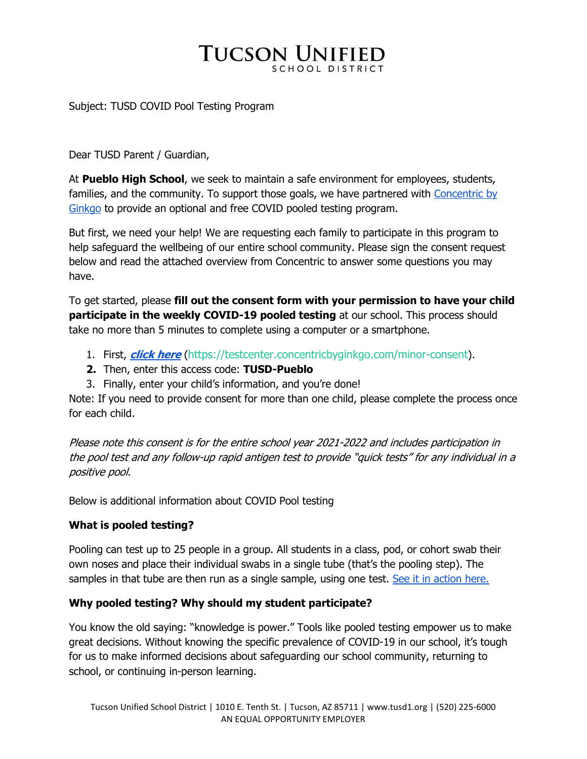# **TUCSON UNIFIED**

#### Subject: TUSD COVID Pool Testing Program

Dear TUSD Parent / Guardian,

At **Pueblo High School**, we seek to maintain a safe environment for employees, students, families, and the community. To support those goals, we have partnered with Concentric by Ginkgo to provide an optional and free COVID pooled testing program.

But first, we need your help! We are requesting each family to participate in this program to help safeguard the wellbeing of our entire school community. Please sign the consent request below and read the attached overview from Concentric to answer some questions you may have.

To get started, please **fill out the consent form with your permission to have your child participate in the weekly COVID-19 pooled testing** at our school. This process should take no more than 5 minutes to complete using a computer or a smartphone.

- 1. First, **click here** (https://testcenter.concentricbyginkgo.com/minor-consent).
- **2.** Then, enter this access code: **TUSD-Pueblo**
- 3. Finally, enter your child's information, and you're done!

Note: If you need to provide consent for more than one child, please complete the process once for each child.

Please note this consent is for the entire school year 2021-2022 and includes participation in the pool test and any follow-up rapid antigen test to provide "quick tests" for any individual in a positive pool.

Below is additional information about COVID Pool testing

### **What is pooled testing?**

Pooling can test up to 25 people in a group. All students in a class, pod, or cohort swab their own noses and place their individual swabs in a single tube (that's the pooling step). The samples in that tube are then run as a single sample, using one test. See it in action here.

### **Why pooled testing? Why should my student participate?**

You know the old saying: "knowledge is power." Tools like pooled testing empower us to make great decisions. Without knowing the specific prevalence of COVID-19 in our school, it's tough for us to make informed decisions about safeguarding our school community, returning to school, or continuing in-person learning.